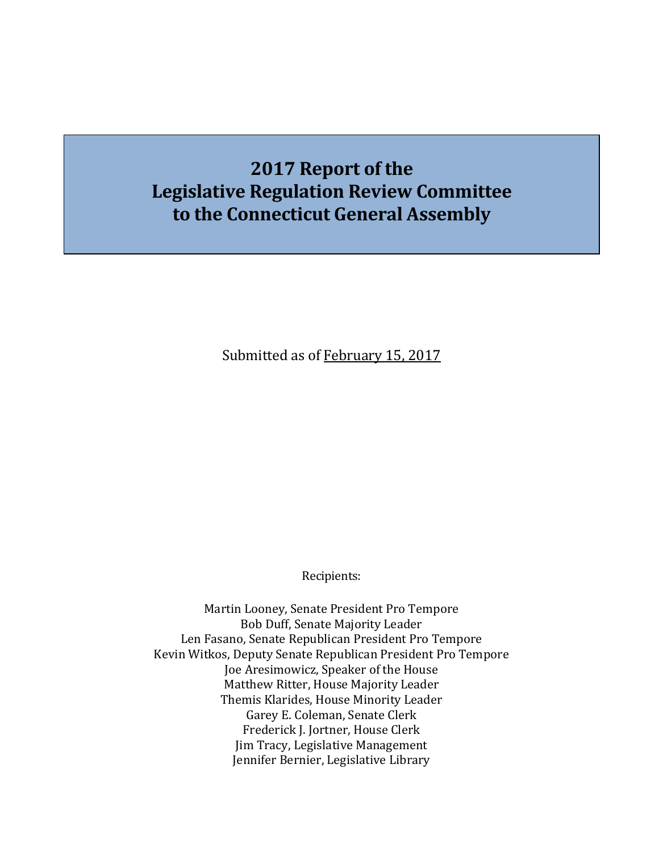# **2017 Report of the Legislative Regulation Review Committee to the Connecticut General Assembly**

Submitted as of February 15, 2017

Recipients:

Martin Looney, Senate President Pro Tempore Bob Duff, Senate Majority Leader Len Fasano, Senate Republican President Pro Tempore Kevin Witkos, Deputy Senate Republican President Pro Tempore Joe Aresimowicz, Speaker of the House Matthew Ritter, House Majority Leader Themis Klarides, House Minority Leader Garey E. Coleman, Senate Clerk Frederick J. Jortner, House Clerk Jim Tracy, Legislative Management Jennifer Bernier, Legislative Library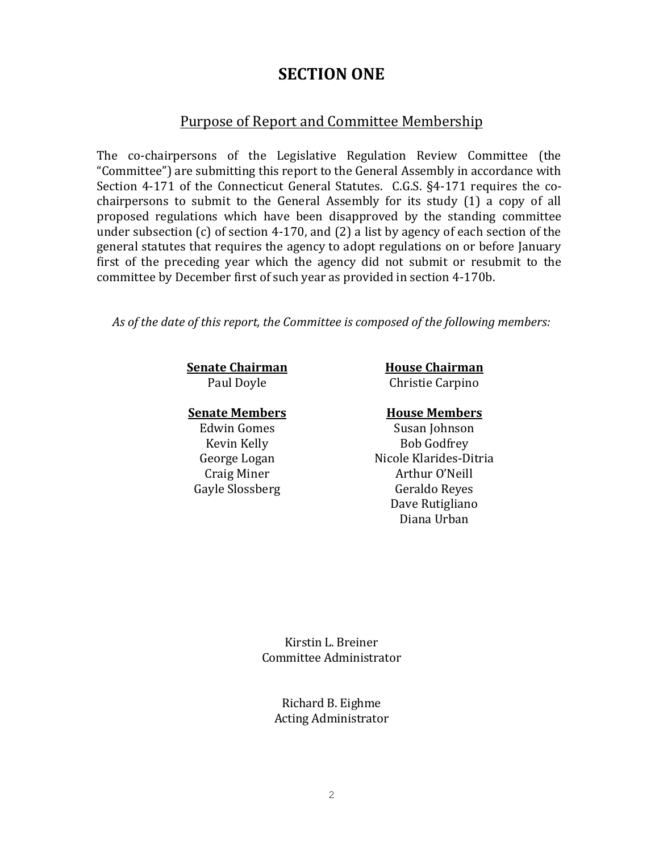## **SECTION ONE**

#### Purpose of Report and Committee Membership

The co-chairpersons of the Legislative Regulation Review Committee (the "Committee") are submitting this report to the General Assembly in accordance with Section 4-171 of the Connecticut General Statutes. C.G.S. §4-171 requires the cochairpersons to submit to the General Assembly for its study (1) a copy of all proposed regulations which have been disapproved by the standing committee under subsection (c) of section 4-170, and (2) a list by agency of each section of the general statutes that requires the agency to adopt regulations on or before January first of the preceding year which the agency did not submit or resubmit to the committee by December first of such year as provided in section 4-170b.

*As of the date of this report, the Committee is composed of the following members:*

**Senate Chairman House Chairman** 

Paul Doyle **Christie Carpino** 

#### **Senate Members House Members**

Edwin Gomes Susan Johnson Kevin Kelly Bob Godfrey George Logan Nicole Klarides-Ditria Craig Miner **Arthur O'Neill** Gayle Slossberg Geraldo Reyes Dave Rutigliano Diana Urban

> Kirstin L. Breiner Committee Administrator

Richard B. Eighme Acting Administrator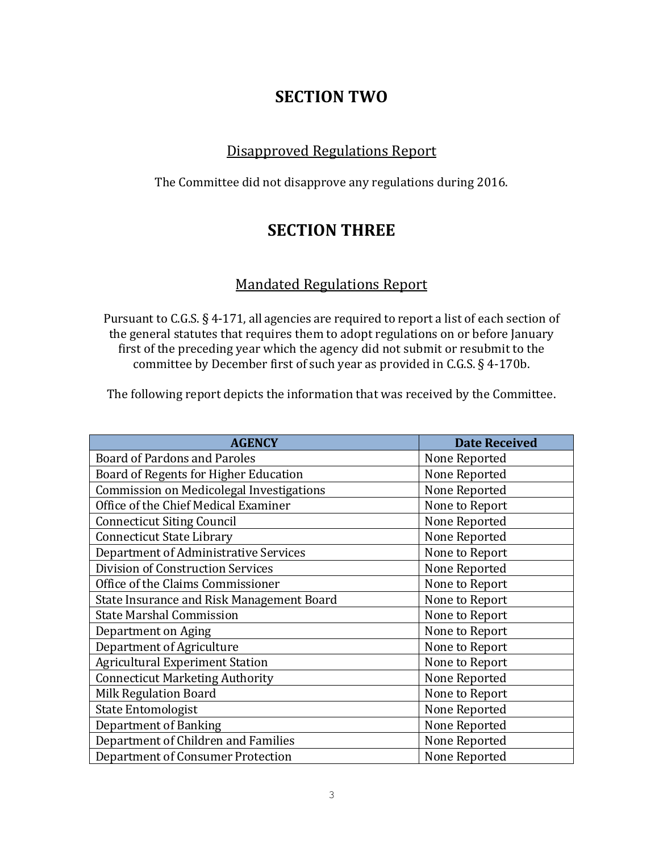# **SECTION TWO**

### Disapproved Regulations Report

The Committee did not disapprove any regulations during 2016.

# **SECTION THREE**

### Mandated Regulations Report

Pursuant to C.G.S. § 4-171, all agencies are required to report a list of each section of the general statutes that requires them to adopt regulations on or before January first of the preceding year which the agency did not submit or resubmit to the committee by December first of such year as provided in C.G.S. § 4-170b.

The following report depicts the information that was received by the Committee.

| <b>AGENCY</b>                                   | <b>Date Received</b> |
|-------------------------------------------------|----------------------|
| <b>Board of Pardons and Paroles</b>             | None Reported        |
| Board of Regents for Higher Education           | None Reported        |
| <b>Commission on Medicolegal Investigations</b> | None Reported        |
| Office of the Chief Medical Examiner            | None to Report       |
| <b>Connecticut Siting Council</b>               | None Reported        |
| <b>Connecticut State Library</b>                | None Reported        |
| Department of Administrative Services           | None to Report       |
| Division of Construction Services               | None Reported        |
| Office of the Claims Commissioner               | None to Report       |
| State Insurance and Risk Management Board       | None to Report       |
| <b>State Marshal Commission</b>                 | None to Report       |
| Department on Aging                             | None to Report       |
| Department of Agriculture                       | None to Report       |
| <b>Agricultural Experiment Station</b>          | None to Report       |
| <b>Connecticut Marketing Authority</b>          | None Reported        |
| <b>Milk Regulation Board</b>                    | None to Report       |
| <b>State Entomologist</b>                       | None Reported        |
| <b>Department of Banking</b>                    | None Reported        |
| Department of Children and Families             | None Reported        |
| <b>Department of Consumer Protection</b>        | None Reported        |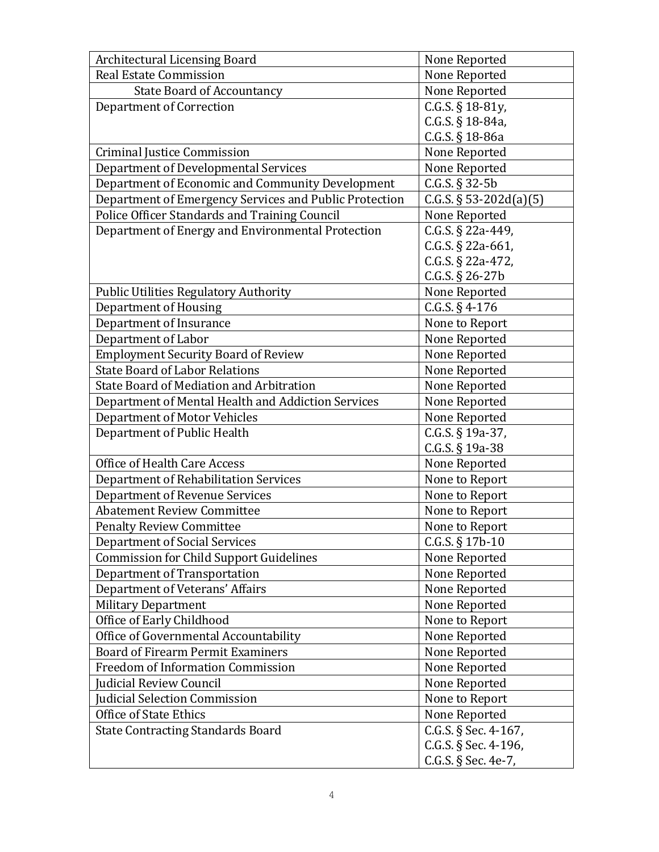| <b>Architectural Licensing Board</b>                   | None Reported             |
|--------------------------------------------------------|---------------------------|
| <b>Real Estate Commission</b>                          | None Reported             |
| <b>State Board of Accountancy</b>                      | None Reported             |
| <b>Department of Correction</b>                        | C.G.S. § 18-81y,          |
|                                                        | C.G.S. § 18-84a,          |
|                                                        | C.G.S. $§$ 18-86a         |
| <b>Criminal Justice Commission</b>                     | None Reported             |
| Department of Developmental Services                   | None Reported             |
| Department of Economic and Community Development       | $C.G.S. § 32-5b$          |
| Department of Emergency Services and Public Protection | C.G.S. $\S 53-202d(a)(5)$ |
| Police Officer Standards and Training Council          | None Reported             |
| Department of Energy and Environmental Protection      | C.G.S. § 22a-449,         |
|                                                        | C.G.S. $\S$ 22a-661,      |
|                                                        | C.G.S. $\S$ 22a-472,      |
|                                                        | C.G.S. § 26-27b           |
| <b>Public Utilities Regulatory Authority</b>           | None Reported             |
| <b>Department of Housing</b>                           | $C.G.S. § 4-176$          |
| Department of Insurance                                | None to Report            |
| Department of Labor                                    | None Reported             |
| <b>Employment Security Board of Review</b>             | None Reported             |
| <b>State Board of Labor Relations</b>                  | None Reported             |
| <b>State Board of Mediation and Arbitration</b>        | None Reported             |
| Department of Mental Health and Addiction Services     | None Reported             |
| <b>Department of Motor Vehicles</b>                    | None Reported             |
| Department of Public Health                            | C.G.S. $§$ 19a-37,        |
|                                                        | C.G.S. $§$ 19a-38         |
| Office of Health Care Access                           | None Reported             |
| Department of Rehabilitation Services                  | None to Report            |
| <b>Department of Revenue Services</b>                  | None to Report            |
| <b>Abatement Review Committee</b>                      | None to Report            |
| <b>Penalty Review Committee</b>                        | None to Report            |
| Department of Social Services                          | C.G.S. $§$ 17b-10         |
| <b>Commission for Child Support Guidelines</b>         | None Reported             |
| Department of Transportation                           | None Reported             |
| Department of Veterans' Affairs                        | None Reported             |
| <b>Military Department</b>                             | None Reported             |
| Office of Early Childhood                              | None to Report            |
| Office of Governmental Accountability                  | None Reported             |
| <b>Board of Firearm Permit Examiners</b>               | None Reported             |
| <b>Freedom of Information Commission</b>               | None Reported             |
| Judicial Review Council                                | None Reported             |
| Judicial Selection Commission                          | None to Report            |
| <b>Office of State Ethics</b>                          | None Reported             |
| <b>State Contracting Standards Board</b>               | C.G.S. § Sec. 4-167,      |
|                                                        | C.G.S. § Sec. 4-196,      |
|                                                        | C.G.S. § Sec. 4e-7,       |